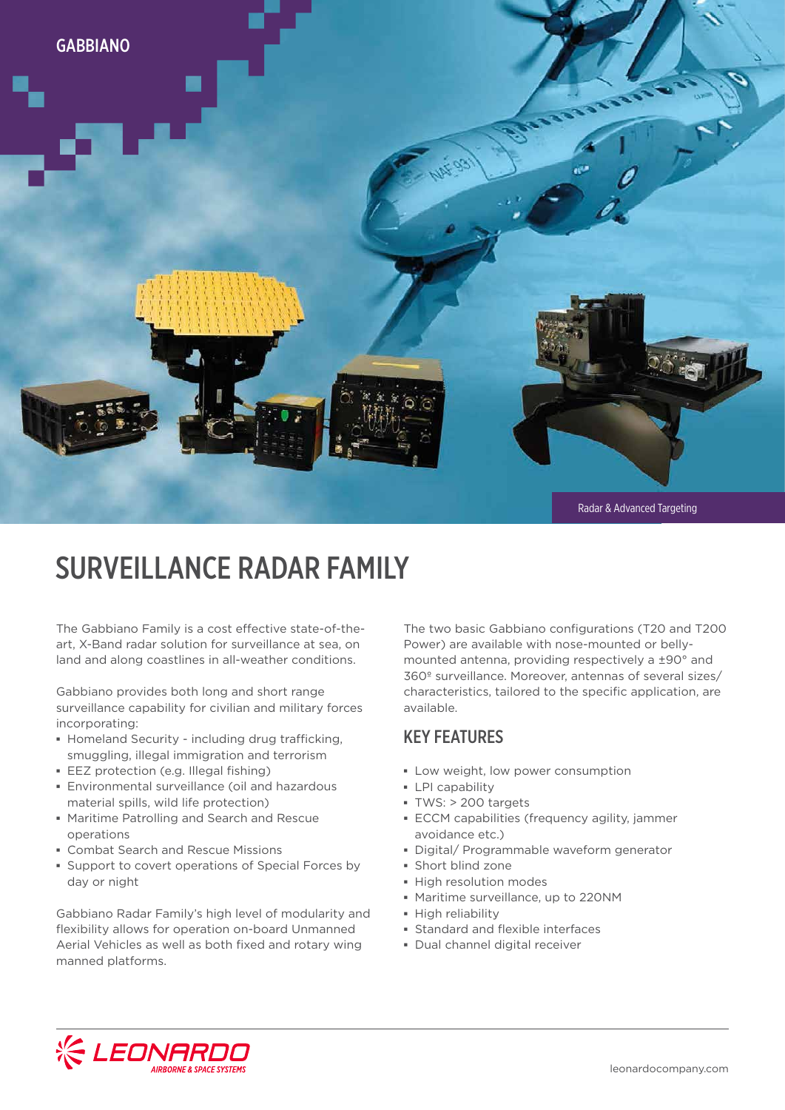

# SURVEILLANCE RADAR FAMILY

The Gabbiano Family is a cost effective state-of-theart, X-Band radar solution for surveillance at sea, on land and along coastlines in all-weather conditions.

Gabbiano provides both long and short range surveillance capability for civilian and military forces incorporating:

- **▪** Homeland Security including drug trafficking, smuggling, illegal immigration and terrorism
- **▪** EEZ protection (e.g. Illegal fishing)
- **▪** Environmental surveillance (oil and hazardous material spills, wild life protection)
- **▪** Maritime Patrolling and Search and Rescue operations
- **▪** Combat Search and Rescue Missions
- **▪** Support to covert operations of Special Forces by day or night

Gabbiano Radar Family's high level of modularity and flexibility allows for operation on-board Unmanned Aerial Vehicles as well as both fixed and rotary wing manned platforms.

The two basic Gabbiano configurations (T20 and T200 Power) are available with nose-mounted or bellymounted antenna, providing respectively a ±90° and 360º surveillance. Moreover, antennas of several sizes/ characteristics, tailored to the specific application, are available.

### KEY FEATURES

- **▪** Low weight, low power consumption
- **▪** LPI capability
- **▪** TWS: > 200 targets
- **▪** ECCM capabilities (frequency agility, jammer avoidance etc.)
- **▪** Digital/ Programmable waveform generator
- **▪** Short blind zone
- **▪** High resolution modes
	- **▪** Maritime surveillance, up to 220NM
	- **▪** High reliability
	- **▪** Standard and flexible interfaces
	- **▪** Dual channel digital receiver